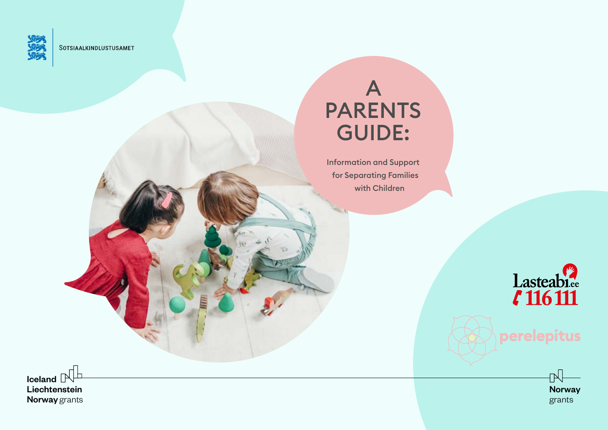

SOTSIAALKINDLUSTUSAMET

# A PARENTS GUIDE:

Information and Support for Separating Families with Children



# perelepitus



**Iceland**  $\mathbb{N}$ Liechtenstein Norway grants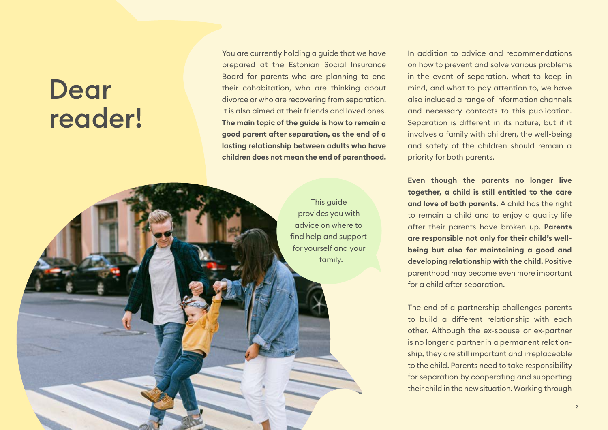# Dear reader!

You are currently holding a guide that we have prepared at the Estonian Social Insurance Board for parents who are planning to end their cohabitation, who are thinking about divorce or who are recovering from separation. It is also aimed at their friends and loved ones. **The main topic of the guide is how to remain a good parent after separation, as the end of a lasting relationship between adults who have children does not mean the end of parenthood.**

> This guide provides you with advice on where to find help and support for yourself and your family.

In addition to advice and recommendations on how to prevent and solve various problems in the event of separation, what to keep in mind, and what to pay attention to, we have also included a range of information channels and necessary contacts to this publication. Separation is different in its nature, but if it involves a family with children, the well-being and safety of the children should remain a priority for both parents.

**Even though the parents no longer live together, a child is still entitled to the care and love of both parents.** A child has the right to remain a child and to enjoy a quality life after their parents have broken up. **Parents are responsible not only for their child's wellbeing but also for maintaining a good and developing relationship with the child.** Positive parenthood may become even more important for a child after separation.

The end of a partnership challenges parents to build a different relationship with each other. Although the ex-spouse or ex-partner is no longer a partner in a permanent relationship, they are still important and irreplaceable to the child. Parents need to take responsibility for separation by cooperating and supporting their child in the new situation. Working through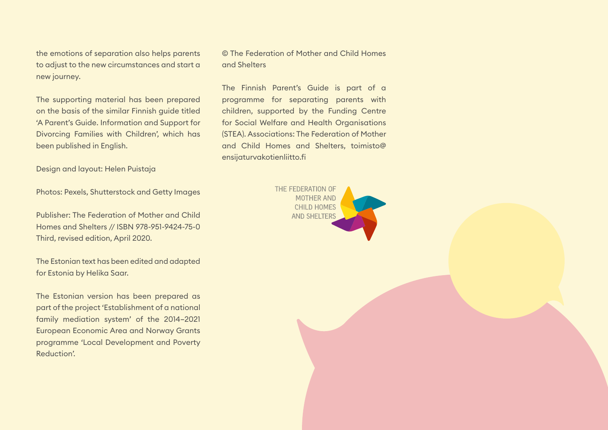the emotions of separation also helps parents to adjust to the new circumstances and start a new journey.

The supporting material has been prepared on the basis of the similar Finnish guide titled 'A Parent's Guide. Information and Support for Divorcing Families with Children', which has been published in English.

Design and layout: Helen Puistaja

Photos: Pexels, Shutterstock and Getty Images

Publisher: The Federation of Mother and Child Homes and Shelters // ISBN 978-951-9424-75-0 Third, revised edition, April 2020.

The Estonian text has been edited and adapted for Estonia by Helika Saar.

The Estonian version has been prepared as part of the project 'Establishment of a national family mediation system' of the 2014–2021 European Economic Area and Norway Grants programme 'Local Development and Poverty Reduction'.

© The Federation of Mother and Child Homes and Shelters

The Finnish Parent's Guide is part of a programme for separating parents with children, supported by the Funding Centre for Social Welfare and Health Organisations (STEA). Associations: The Federation of Mother and Child Homes and Shelters, toimisto@ ensijaturvakotienliitto.fi

> THE FEDERATION OF **MOTHER AND CHILD HOMES AND SHELTERS**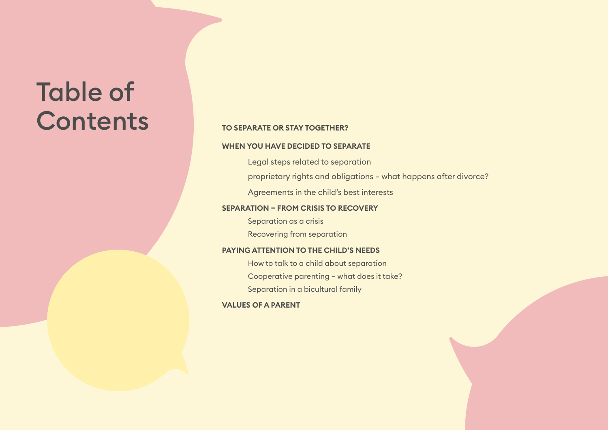# Table of **Contents**

### **[TO SEPARATE OR STAY TOGETHER?](#page-4-0)**

### **[WHEN YOU HAVE DECIDED TO SEPARATE](#page-6-0)**

[Legal steps related to separation](#page-6-1)

[proprietary rights and obligations – what happens after divorce?](#page-8-0)

[Agreements in the child's best interests](#page-13-0)

### **[SEPARATION – FROM CRISIS TO RECOVERY](#page-22-0)**

[Separation as a crisis](#page-24-0) [Recovering from separation](#page-25-0)

### **[PAYING ATTENTION TO THE CHILD'S NEEDS](#page-26-0)**

[How to talk to a child about separation](#page-26-1) [Cooperative parenting – what does it take?](#page-29-0) [Separation in a bicultural family](#page-30-0)

**[VALUES OF A PARENT](#page-32-0)**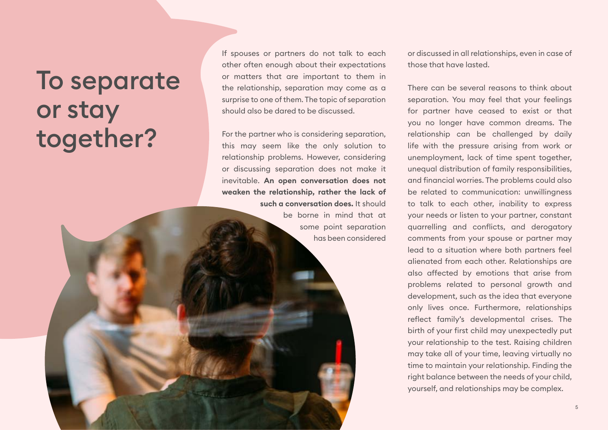# <span id="page-4-0"></span>To separate or stay together?

If spouses or partners do not talk to each other often enough about their expectations or matters that are important to them in the relationship, separation may come as a surprise to one of them. The topic of separation should also be dared to be discussed.

For the partner who is considering separation, this may seem like the only solution to relationship problems. However, considering or discussing separation does not make it inevitable. **An open conversation does not weaken the relationship, rather the lack of such a conversation does.** It should be borne in mind that at some point separation

has been considered

or discussed in all relationships, even in case of those that have lasted.

There can be several reasons to think about separation. You may feel that your feelings for partner have ceased to exist or that you no longer have common dreams. The relationship can be challenged by daily life with the pressure arising from work or unemployment, lack of time spent together, unequal distribution of family responsibilities, and financial worries. The problems could also be related to communication: unwillingness to talk to each other, inability to express your needs or listen to your partner, constant quarrelling and conflicts, and derogatory comments from your spouse or partner may lead to a situation where both partners feel alienated from each other. Relationships are also affected by emotions that arise from problems related to personal growth and development, such as the idea that everyone only lives once. Furthermore, relationships reflect family's developmental crises. The birth of your first child may unexpectedly put your relationship to the test. Raising children may take all of your time, leaving virtually no time to maintain your relationship. Finding the right balance between the needs of your child, yourself, and relationships may be complex.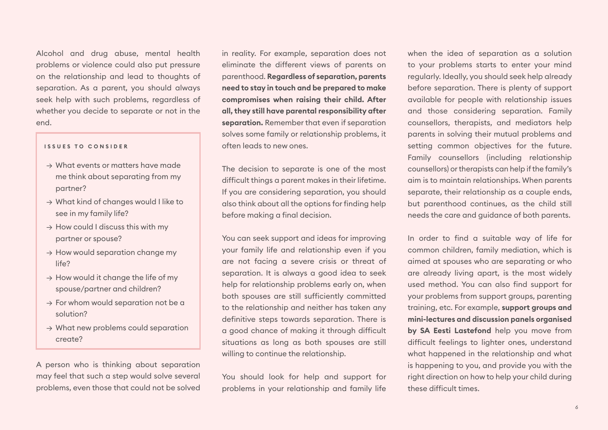Alcohol and drug abuse, mental health problems or violence could also put pressure on the relationship and lead to thoughts of separation. As a parent, you should always seek help with such problems, regardless of whether you decide to separate or not in the end.

#### **ISSUES TO CONSIDER**

- $\rightarrow$  What events or matters have made me think about separating from my partner?
- → What kind of changes would I like to see in my family life?
- $\rightarrow$  How could I discuss this with my partner or spouse?
- $\rightarrow$  How would separation change my life?
- $\rightarrow$  How would it change the life of my spouse/partner and children?
- $\rightarrow$  For whom would separation not be a solution?
- $\rightarrow$  What new problems could separation create?

A person who is thinking about separation may feel that such a step would solve several problems, even those that could not be solved in reality. For example, separation does not eliminate the different views of parents on parenthood. **Regardless of separation, parents need to stay in touch and be prepared to make compromises when raising their child. After all, they still have parental responsibility after separation.** Remember that even if separation solves some family or relationship problems, it often leads to new ones.

The decision to separate is one of the most difficult things a parent makes in their lifetime. If you are considering separation, you should also think about all the options for finding help before making a final decision.

You can seek support and ideas for improving your family life and relationship even if you are not facing a severe crisis or threat of separation. It is always a good idea to seek help for relationship problems early on, when both spouses are still sufficiently committed to the relationship and neither has taken any definitive steps towards separation. There is a good chance of making it through difficult situations as long as both spouses are still willing to continue the relationship.

You should look for help and support for problems in your relationship and family life when the idea of separation as a solution to your problems starts to enter your mind regularly. Ideally, you should seek help already before separation. There is plenty of support available for people with relationship issues and those considering separation. Family counsellors, therapists, and mediators help parents in solving their mutual problems and setting common objectives for the future. Family counsellors (including relationship counsellors) or therapists can help if the family's aim is to maintain relationships. When parents separate, their relationship as a couple ends, but parenthood continues, as the child still needs the care and guidance of both parents.

In order to find a suitable way of life for common children, family mediation, which is aimed at spouses who are separating or who are already living apart, is the most widely used method. You can also find support for your problems from support groups, parenting training, etc. For example, **support groups and mini-lectures and discussion panels organised by SA Eesti Lastefond** help you move from difficult feelings to lighter ones, understand what happened in the relationship and what is happening to you, and provide you with the right direction on how to help your child during these difficult times.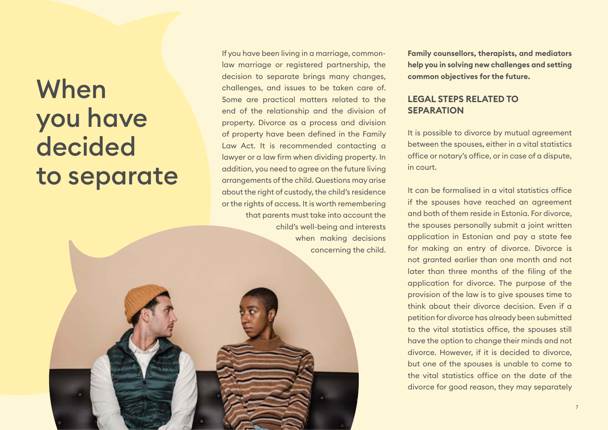# <span id="page-6-0"></span>When you have decided to separate

If you have been living in a marriage, commonlaw marriage or registered partnership, the decision to separate brings many changes, challenges, and issues to be taken care of. Some are practical matters related to the end of the relationship and the division of property. Divorce as a process and division of property have been defined in the Family Law Act. It is recommended contacting a lawyer or a law firm when dividing property. In addition, you need to agree on the future living arrangements of the child. Questions may arise about the right of custody, the child's residence or the rights of access. It is worth remembering that parents must take into account the child's well-being and interests when making decisions concerning the child. **Family counsellors, therapists, and mediators help you in solving new challenges and setting common objectives for the future.**

## <span id="page-6-1"></span>**LEGAL STEPS RELATED TO SEPARATION**

It is possible to divorce by mutual agreement between the spouses, either in a vital statistics office or notary's office, or in case of a dispute, in court.

It can be formalised in a vital statistics office if the spouses have reached an agreement and both of them reside in Estonia. For divorce, the spouses personally submit a joint written application in Estonian and pay a state fee for making an entry of divorce. Divorce is not granted earlier than one month and not later than three months of the filing of the application for divorce. The purpose of the provision of the law is to give spouses time to think about their divorce decision. Even if a petition for divorce has already been submitted to the vital statistics office, the spouses still have the option to change their minds and not divorce. However, if it is decided to divorce, but one of the spouses is unable to come to the vital statistics office on the date of the divorce for good reason, they may separately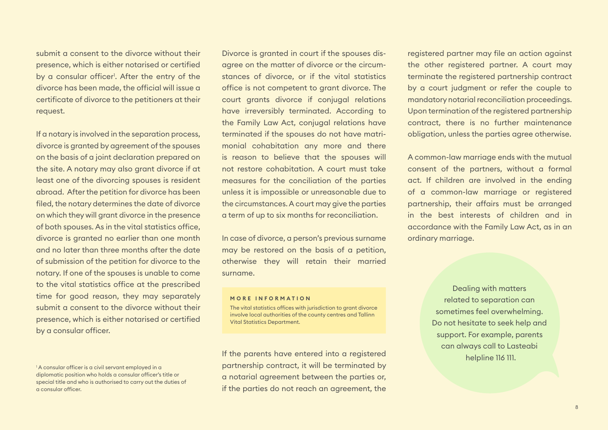submit a consent to the divorce without their presence, which is either notarised or certified by a consular officer<sup>1</sup>. After the entry of the divorce has been made, the official will issue a certificate of divorce to the petitioners at their request.

If a notary is involved in the separation process, divorce is granted by agreement of the spouses on the basis of a joint declaration prepared on the site. A notary may also grant divorce if at least one of the divorcing spouses is resident abroad. After the petition for divorce has been filed, the notary determines the date of divorce on which they will grant divorce in the presence of both spouses. As in the vital statistics office, divorce is granted no earlier than one month and no later than three months after the date of submission of the petition for divorce to the notary. If one of the spouses is unable to come to the vital statistics office at the prescribed time for good reason, they may separately submit a consent to the divorce without their presence, which is either notarised or certified by a consular officer.

Divorce is granted in court if the spouses disagree on the matter of divorce or the circumstances of divorce, or if the vital statistics office is not competent to grant divorce. The court grants divorce if conjugal relations have irreversibly terminated. According to the Family Law Act, conjugal relations have terminated if the spouses do not have matrimonial cohabitation any more and there is reason to believe that the spouses will not restore cohabitation. A court must take measures for the conciliation of the parties unless it is impossible or unreasonable due to the circumstances. A court may give the parties a term of up to six months for reconciliation.

In case of divorce, a person's previous surname may be restored on the basis of a petition, otherwise they will retain their married surname.

#### **MORE INFORMATION**

The vital statistics offices with jurisdiction to grant divorce involve local authorities of the county centres and Tallinn Vital Statistics Department.

If the parents have entered into a registered partnership contract, it will be terminated by a notarial agreement between the parties or, if the parties do not reach an agreement, the

registered partner may file an action against the other registered partner. A court may terminate the registered partnership contract by a court judgment or refer the couple to mandatory notarial reconciliation proceedings. Upon termination of the registered partnership contract, there is no further maintenance obligation, unless the parties agree otherwise.

A common-law marriage ends with the mutual consent of the partners, without a formal act. If children are involved in the ending of a common-law marriage or registered partnership, their affairs must be arranged in the best interests of children and in accordance with the Family Law Act, as in an ordinary marriage.

> Dealing with matters related to separation can sometimes feel overwhelming. Do not hesitate to seek help and support. For example, parents can always call to Lasteabi helpline 116 111.

<sup>1</sup> A consular officer is a civil servant employed in a diplomatic position who holds a consular officer's title or special title and who is authorised to carry out the duties of a consular officer.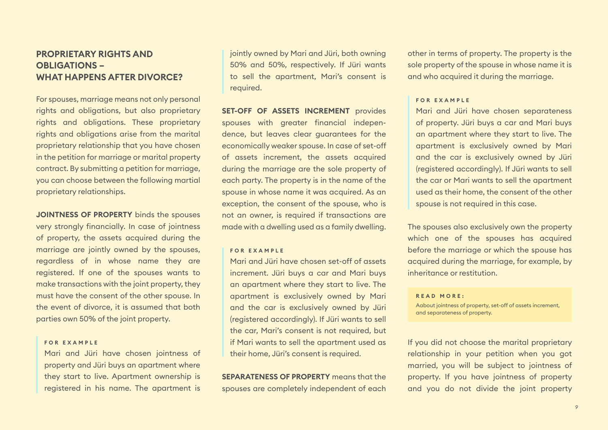# <span id="page-8-0"></span>**PROPRIETARY RIGHTS AND OBLIGATIONS – WHAT HAPPENS AFTER DIVORCE?**

For spouses, marriage means not only personal rights and obligations, but also proprietary rights and obligations. These proprietary rights and obligations arise from the marital proprietary relationship that you have chosen in the petition for marriage or marital property contract. By submitting a petition for marriage, you can choose between the following martial proprietary relationships.

**JOINTNESS OF PROPERTY** binds the spouses very strongly financially. In case of jointness of property, the assets acquired during the marriage are jointly owned by the spouses, regardless of in whose name they are registered. If one of the spouses wants to make transactions with the joint property, they must have the consent of the other spouse. In the event of divorce, it is assumed that both parties own 50% of the joint property.

#### **F O R E X A M P L E**

Mari and Jüri have chosen jointness of property and Jüri buys an apartment where they start to live. Apartment ownership is registered in his name. The apartment is

jointly owned by Mari and Jüri, both owning 50% and 50%, respectively. If Jüri wants to sell the apartment, Mari's consent is required.

# **SET-OFF OF ASSETS INCREMENT** provides

spouses with greater financial independence, but leaves clear guarantees for the economically weaker spouse. In case of set-off of assets increment, the assets acquired during the marriage are the sole property of each party. The property is in the name of the spouse in whose name it was acquired. As an exception, the consent of the spouse, who is not an owner, is required if transactions are made with a dwelling used as a family dwelling.

#### **FOR EXAMPLE**

Mari and Jüri have chosen set-off of assets increment. Jüri buys a car and Mari buys an apartment where they start to live. The apartment is exclusively owned by Mari and the car is exclusively owned by Jüri (registered accordingly). If Jüri wants to sell the car, Mari's consent is not required, but if Mari wants to sell the apartment used as their home, Jüri's consent is required.

**SEPARATENESS OF PROPERTY** means that the spouses are completely independent of each other in terms of property. The property is the sole property of the spouse in whose name it is and who acquired it during the marriage.

#### **FOR EXAMPLE**

Mari and Jüri have chosen separateness of property. Jüri buys a car and Mari buys an apartment where they start to live. The apartment is exclusively owned by Mari and the car is exclusively owned by Jüri (registered accordingly). If Jüri wants to sell the car or Mari wants to sell the apartment used as their home, the consent of the other spouse is not required in this case.

The spouses also exclusively own the property which one of the spouses has acquired before the marriage or which the spouse has acquired during the marriage, for example, by inheritance or restitution.

#### **READ MORE:**

Aabout jointness of property, set-off of assets increment, and separateness of property.

If you did not choose the marital proprietary relationship in your petition when you got married, you will be subject to jointness of property. If you have jointness of property and you do not divide the joint property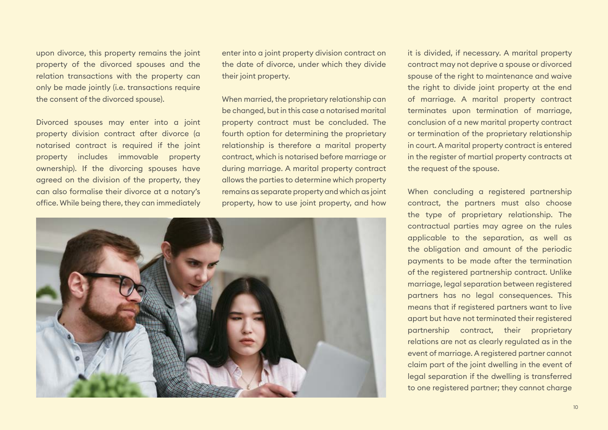upon divorce, this property remains the joint property of the divorced spouses and the relation transactions with the property can only be made jointly (i.e. transactions require the consent of the divorced spouse).

Divorced spouses may enter into a joint property division contract after divorce (a notarised contract is required if the joint property includes immovable property ownership). If the divorcing spouses have agreed on the division of the property, they can also formalise their divorce at a notary's office. While being there, they can immediately

enter into a joint property division contract on the date of divorce, under which they divide their joint property.

When married, the proprietary relationship can be changed, but in this case a notarised marital property contract must be concluded. The fourth option for determining the proprietary relationship is therefore a marital property contract, which is notarised before marriage or during marriage. A marital property contract allows the parties to determine which property remains as separate property and which as joint property, how to use joint property, and how



it is divided, if necessary. A marital property contract may not deprive a spouse or divorced spouse of the right to maintenance and waive the right to divide joint property at the end of marriage. A marital property contract terminates upon termination of marriage, conclusion of a new marital property contract or termination of the proprietary relationship in court. A marital property contract is entered in the register of martial property contracts at the request of the spouse.

When concluding a registered partnership contract, the partners must also choose the type of proprietary relationship. The contractual parties may agree on the rules applicable to the separation, as well as the obligation and amount of the periodic payments to be made after the termination of the registered partnership contract. Unlike marriage, legal separation between registered partners has no legal consequences. This means that if registered partners want to live apart but have not terminated their registered partnership contract, their proprietary relations are not as clearly regulated as in the event of marriage. A registered partner cannot claim part of the joint dwelling in the event of legal separation if the dwelling is transferred to one registered partner; they cannot charge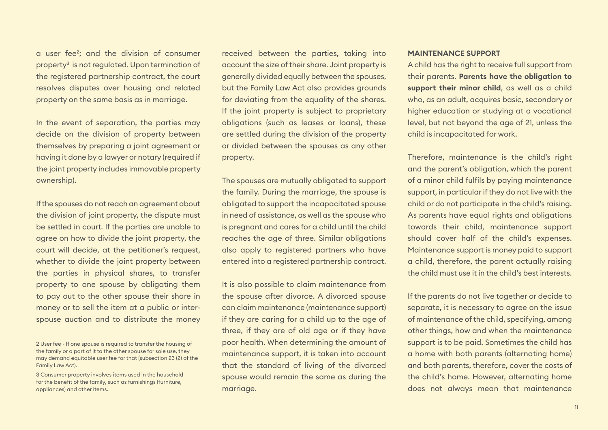a user fee2 ; and the division of consumer property3 is not regulated. Upon termination of the registered partnership contract, the court resolves disputes over housing and related property on the same basis as in marriage.

In the event of separation, the parties may decide on the division of property between themselves by preparing a joint agreement or having it done by a lawyer or notary (required if the joint property includes immovable property ownership).

If the spouses do not reach an agreement about the division of joint property, the dispute must be settled in court. If the parties are unable to agree on how to divide the joint property, the court will decide, at the petitioner's request, whether to divide the joint property between the parties in physical shares, to transfer property to one spouse by obligating them to pay out to the other spouse their share in money or to sell the item at a public or interspouse auction and to distribute the money received between the parties, taking into account the size of their share. Joint property is generally divided equally between the spouses, but the Family Law Act also provides grounds for deviating from the equality of the shares. If the joint property is subject to proprietary obligations (such as leases or loans), these are settled during the division of the property or divided between the spouses as any other property.

The spouses are mutually obligated to support the family. During the marriage, the spouse is obligated to support the incapacitated spouse in need of assistance, as well as the spouse who is pregnant and cares for a child until the child reaches the age of three. Similar obligations also apply to registered partners who have entered into a registered partnership contract.

It is also possible to claim maintenance from the spouse after divorce. A divorced spouse can claim maintenance (maintenance support) if they are caring for a child up to the age of three, if they are of old age or if they have poor health. When determining the amount of maintenance support, it is taken into account that the standard of living of the divorced spouse would remain the same as during the marriage.

#### **MAINTENANCE SUPPORT**

A child has the right to receive full support from their parents. **Parents have the obligation to support their minor child**, as well as a child who, as an adult, acquires basic, secondary or higher education or studying at a vocational level, but not beyond the age of 21, unless the child is incapacitated for work.

Therefore, maintenance is the child's right and the parent's obligation, which the parent of a minor child fulfils by paying maintenance support, in particular if they do not live with the child or do not participate in the child's raising. As parents have equal rights and obligations towards their child, maintenance support should cover half of the child's expenses. Maintenance support is money paid to support a child, therefore, the parent actually raising the child must use it in the child's best interests.

If the parents do not live together or decide to separate, it is necessary to agree on the issue of maintenance of the child, specifying, among other things, how and when the maintenance support is to be paid. Sometimes the child has a home with both parents (alternating home) and both parents, therefore, cover the costs of the child's home. However, alternating home does not always mean that maintenance

<sup>2</sup> User fee - If one spouse is required to transfer the housing of the family or a part of it to the other spouse for sole use, they may demand equitable user fee for that (subsection 23 (2) of the Family Law Act).

<sup>3</sup> Consumer property involves items used in the household for the benefit of the family, such as furnishings (furniture, appliances) and other items.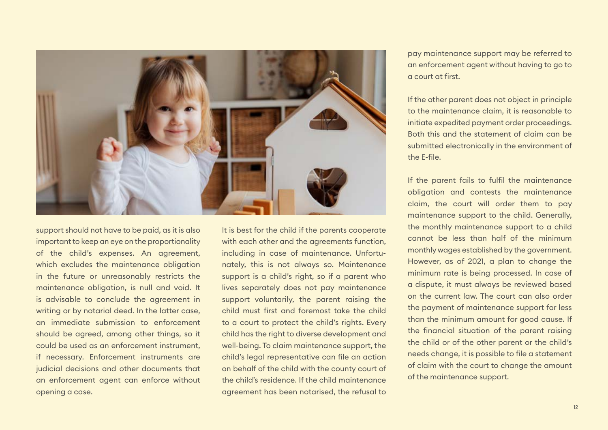

support should not have to be paid, as it is also important to keep an eye on the proportionality of the child's expenses. An agreement, which excludes the maintenance obligation in the future or unreasonably restricts the maintenance obligation, is null and void. It is advisable to conclude the agreement in writing or by notarial deed. In the latter case, an immediate submission to enforcement should be agreed, among other things, so it could be used as an enforcement instrument, if necessary. Enforcement instruments are judicial decisions and other documents that an enforcement agent can enforce without opening a case.

It is best for the child if the parents cooperate with each other and the agreements function. including in case of maintenance. Unfortunately, this is not always so. Maintenance support is a child's right, so if a parent who lives separately does not pay maintenance support voluntarily, the parent raising the child must first and foremost take the child to a court to protect the child's rights. Every child has the right to diverse development and well-being. To claim maintenance support, the child's legal representative can file an action on behalf of the child with the county court of the child's residence. If the child maintenance agreement has been notarised, the refusal to pay maintenance support may be referred to an enforcement agent without having to go to a court at first.

If the other parent does not object in principle to the maintenance claim, it is reasonable to initiate expedited payment order proceedings. Both this and the statement of claim can be submitted electronically in the environment of the E-file.

If the parent fails to fulfil the maintenance obligation and contests the maintenance claim, the court will order them to pay maintenance support to the child. Generally, the monthly maintenance support to a child cannot be less than half of the minimum monthly wages established by the government. However, as of 2021, a plan to change the minimum rate is being processed. In case of a dispute, it must always be reviewed based on the current law. The court can also order the payment of maintenance support for less than the minimum amount for good cause. If the financial situation of the parent raising the child or of the other parent or the child's needs change, it is possible to file a statement of claim with the court to change the amount of the maintenance support.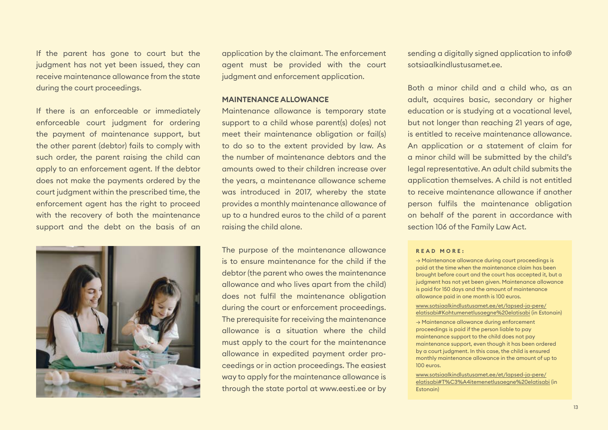If the parent has gone to court but the judgment has not yet been issued, they can receive maintenance allowance from the state during the court proceedings.

If there is an enforceable or immediately enforceable court judgment for ordering the payment of maintenance support, but the other parent (debtor) fails to comply with such order, the parent raising the child can apply to an enforcement agent. If the debtor does not make the payments ordered by the court judgment within the prescribed time, the enforcement agent has the right to proceed with the recovery of both the maintenance support and the debt on the basis of an



application by the claimant. The enforcement agent must be provided with the court judament and enforcement application.

#### **MAINTENANCE ALLOWANCE**

Maintenance allowance is temporary state support to a child whose parent(s) do(es) not meet their maintenance obligation or fail(s) to do so to the extent provided by law. As the number of maintenance debtors and the amounts owed to their children increase over the years, a maintenance allowance scheme was introduced in 2017, whereby the state provides a monthly maintenance allowance of up to a hundred euros to the child of a parent raising the child alone.

The purpose of the maintenance allowance is to ensure maintenance for the child if the debtor (the parent who owes the maintenance allowance and who lives apart from the child) does not fulfil the maintenance obligation during the court or enforcement proceedings. The prerequisite for receiving the maintenance allowance is a situation where the child must apply to the court for the maintenance allowance in expedited payment order proceedings or in action proceedings. The easiest way to apply for the maintenance allowance is through the state portal at www.eesti.ee or by sending a digitally signed application to info@ sotsiaalkindlustusamet.ee.

Both a minor child and a child who, as an adult, acquires basic, secondary or higher education or is studying at a vocational level, but not longer than reaching 21 years of age, is entitled to receive maintenance allowance. An application or a statement of claim for a minor child will be submitted by the child's legal representative. An adult child submits the application themselves. A child is not entitled to receive maintenance allowance if another person fulfils the maintenance obligation on behalf of the parent in accordance with section 106 of the Family Law Act.

#### **R E A D M O R E :**

→ Maintenance allowance during court proceedings is paid at the time when the maintenance claim has been brought before court and the court has accepted it, but a judgment has not yet been given. Maintenance allowance is paid for 150 days and the amount of maintenance allowance paid in one month is 100 euros.

[www.sotsiaalkindlustusamet.ee/et/lapsed-ja-pere/](http://www.sotsiaalkindlustusamet.ee/et/lapsed-ja-pere/elatisabi#Kohtumenetlusaegne%20elatisabi) [elatisabi#Kohtumenetlusaegne%20elatisabi](http://www.sotsiaalkindlustusamet.ee/et/lapsed-ja-pere/elatisabi#Kohtumenetlusaegne%20elatisabi) (in Estonain)

→ Maintenance allowance during enforcement proceedings is paid if the person liable to pay maintenance support to the child does not pay maintenance support, even though it has been ordered by a court judgment. In this case, the child is ensured monthly maintenance allowance in the amount of up to 100 euros.

**CLAIMING MAINTENANCE SUPPORT AND LOCAL CONTRACT OF A SUPPORT OF A SUPPORT OF A SUPPORT OF A SUPPORT OF A SUPPORT OF A SUPPORT OF A SUPPORT OF A SUPPORT OF A SUPPORT OF A SUPPORT OF A SUPPORT OF A SUPPORT OF A SUPPORT OF A** [www.sotsiaalkindlustusamet.ee/et/lapsed-ja-pere/](http://www.sotsiaalkindlustusamet.ee/et/lapsed-ja-pere/elatisabi#T%C3%A4itemenetlusaegne%20elatisabi) [elatisabi#T%C3%A4itemenetlusaegne%20elatisabi](http://www.sotsiaalkindlustusamet.ee/et/lapsed-ja-pere/elatisabi#T%C3%A4itemenetlusaegne%20elatisabi) (in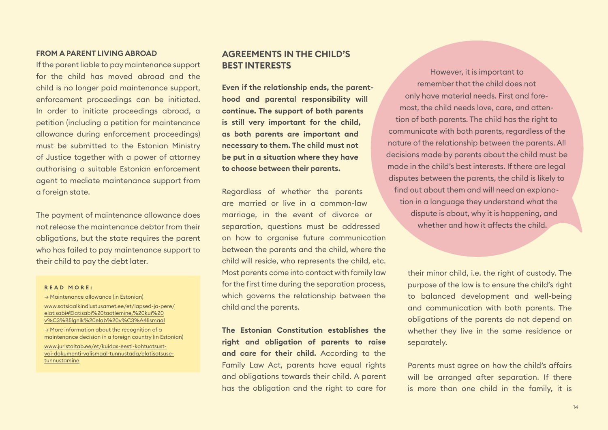#### **FROM A PARENT LIVING ABROAD**

If the parent liable to pay maintenance support for the child has moved abroad and the child is no longer paid maintenance support, enforcement proceedings can be initiated. In order to initiate proceedings abroad, a petition (including a petition for maintenance allowance during enforcement proceedings) must be submitted to the Estonian Ministry of Justice together with a power of attorney authorising a suitable Estonian enforcement agent to mediate maintenance support from a foreign state.

The payment of maintenance allowance does not release the maintenance debtor from their obligations, but the state requires the parent who has failed to pay maintenance support to their child to pay the debt later.

#### **R E A D M O R E :**

→ Maintenance allowance (in Estonian) [www.sotsiaalkindlustusamet.ee/et/lapsed-ja-pere/](https://www.sotsiaalkindlustusamet.ee/et/lapsed-ja-pere/elatisabi#Elatisabi%20taotlemine,%20kui%20v%C3%B5lgnik%20elab%20v%C3%A4lismaal) [elatisabi#Elatisabi%20taotlemine,%20kui%20](https://www.sotsiaalkindlustusamet.ee/et/lapsed-ja-pere/elatisabi#Elatisabi%20taotlemine,%20kui%20v%C3%B5lgnik%20elab%20v%C3%A4lismaal) [v%C3%B5lgnik%20elab%20v%C3%A4lismaal](https://www.sotsiaalkindlustusamet.ee/et/lapsed-ja-pere/elatisabi#Elatisabi%20taotlemine,%20kui%20v%C3%B5lgnik%20elab%20v%C3%A4lismaal) → More information about the recognition of a maintenance decision in a foreign country (in Estonian)

[www.juristaitab.ee/et/kuidas-eesti-kohtuotsust](https://www.juristaitab.ee/et/kuidas-eesti-kohtuotsust-voi-dokumenti-valismaal-tunnustada/elatisotsuse-tunnustamine)[voi-dokumenti-valismaal-tunnustada/elatisotsuse](https://www.juristaitab.ee/et/kuidas-eesti-kohtuotsust-voi-dokumenti-valismaal-tunnustada/elatisotsuse-tunnustamine)[tunnustamine](https://www.juristaitab.ee/et/kuidas-eesti-kohtuotsust-voi-dokumenti-valismaal-tunnustada/elatisotsuse-tunnustamine)

# <span id="page-13-0"></span>**AGREEMENTS IN THE CHILD'S BEST INTERESTS**

**Even if the relationship ends, the parenthood and parental responsibility will continue. The support of both parents is still very important for the child, as both parents are important and necessary to them. The child must not be put in a situation where they have to choose between their parents.**

Regardless of whether the parents are married or live in a common-law marriage, in the event of divorce or separation, questions must be addressed on how to organise future communication between the parents and the child, where the child will reside, who represents the child, etc. Most parents come into contact with family law for the first time during the separation process, which governs the relationship between the child and the parents.

**The Estonian Constitution establishes the right and obligation of parents to raise and care for their child.** According to the Family Law Act, parents have equal rights and obligations towards their child. A parent has the obligation and the right to care for

However, it is important to remember that the child does not only have material needs. First and foremost, the child needs love, care, and attention of both parents. The child has the right to communicate with both parents, regardless of the nature of the relationship between the parents. All decisions made by parents about the child must be made in the child's best interests. If there are legal disputes between the parents, the child is likely to find out about them and will need an explanation in a language they understand what the dispute is about, why it is happening, and whether and how it affects the child

> their minor child, i.e. the right of custody. The purpose of the law is to ensure the child's right to balanced development and well-being and communication with both parents. The obligations of the parents do not depend on whether they live in the same residence or separately.

> Parents must agree on how the child's affairs will be arranged after separation. If there is more than one child in the family, it is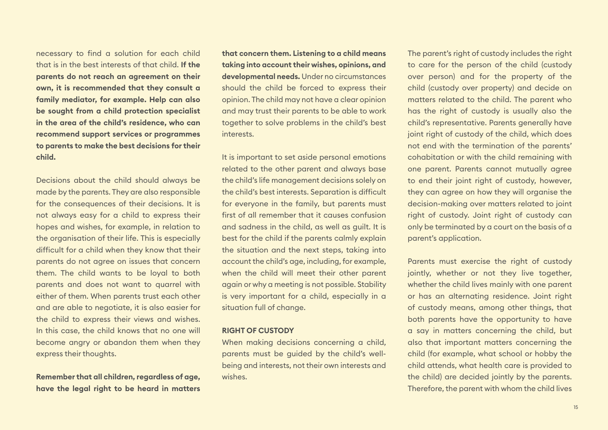necessary to find a solution for each child that is in the best interests of that child. **If the parents do not reach an agreement on their own, it is recommended that they consult a family mediator, for example. Help can also be sought from a child protection specialist in the area of the child's residence, who can recommend support services or programmes to parents to make the best decisions for their child.**

Decisions about the child should always be made by the parents. They are also responsible for the consequences of their decisions. It is not always easy for a child to express their hopes and wishes, for example, in relation to the organisation of their life. This is especially difficult for a child when they know that their parents do not agree on issues that concern them. The child wants to be loyal to both parents and does not want to quarrel with either of them. When parents trust each other and are able to negotiate, it is also easier for the child to express their views and wishes. In this case, the child knows that no one will become angry or abandon them when they express their thoughts.

**Remember that all children, regardless of age, have the legal right to be heard in matters**  **that concern them. Listening to a child means taking into account their wishes, opinions, and developmental needs.** Under no circumstances should the child be forced to express their opinion. The child may not have a clear opinion and may trust their parents to be able to work together to solve problems in the child's best interests.

It is important to set aside personal emotions related to the other parent and always base the child's life management decisions solely on the child's best interests. Separation is difficult for everyone in the family, but parents must first of all remember that it causes confusion and sadness in the child, as well as guilt. It is best for the child if the parents calmly explain the situation and the next steps, taking into account the child's age, including, for example, when the child will meet their other parent again or why a meeting is not possible. Stability is very important for a child, especially in a situation full of change.

#### **RIGHT OF CUSTODY**

When making decisions concerning a child, parents must be guided by the child's wellbeing and interests, not their own interests and wishes.

The parent's right of custody includes the right to care for the person of the child (custody over person) and for the property of the child (custody over property) and decide on matters related to the child. The parent who has the right of custody is usually also the child's representative. Parents generally have joint right of custody of the child, which does not end with the termination of the parents' cohabitation or with the child remaining with one parent. Parents cannot mutually agree to end their joint right of custody, however, they can agree on how they will organise the decision-making over matters related to joint right of custody. Joint right of custody can only be terminated by a court on the basis of a parent's application.

Parents must exercise the right of custody jointly, whether or not they live together, whether the child lives mainly with one parent or has an alternating residence. Joint right of custody means, among other things, that both parents have the opportunity to have a say in matters concerning the child, but also that important matters concerning the child (for example, what school or hobby the child attends, what health care is provided to the child) are decided jointly by the parents. Therefore, the parent with whom the child lives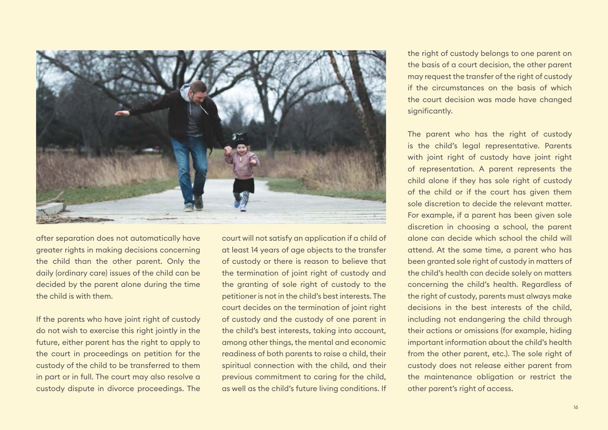

after separation does not automatically have greater rights in making decisions concerning the child than the other parent. Only the daily (ordinary care) issues of the child can be decided by the parent alone during the time the child is with them.

If the parents who have joint right of custody do not wish to exercise this right jointly in the future, either parent has the right to apply to the court in proceedings on petition for the custody of the child to be transferred to them in part or in full. The court may also resolve a custody dispute in divorce proceedings. The

court will not satisfy an application if a child of at least 14 years of age objects to the transfer of custody or there is reason to believe that the termination of joint right of custody and the granting of sole right of custody to the petitioner is not in the child's best interests. The court decides on the termination of joint right of custody and the custody of one parent in the child's best interests, taking into account, among other things, the mental and economic readiness of both parents to raise a child, their spiritual connection with the child, and their previous commitment to caring for the child, as well as the child's future living conditions. If the right of custody belongs to one parent on the basis of a court decision, the other parent may request the transfer of the right of custody if the circumstances on the basis of which the court decision was made have changed significantly.

The parent who has the right of custody is the child's legal representative. Parents with joint right of custody have joint right of representation. A parent represents the child alone if they has sole right of custody of the child or if the court has given them sole discretion to decide the relevant matter. For example, if a parent has been given sole discretion in choosing a school, the parent alone can decide which school the child will attend. At the same time, a parent who has been granted sole right of custody in matters of the child's health can decide solely on matters concerning the child's health. Regardless of the right of custody, parents must always make decisions in the best interests of the child, including not endangering the child through their actions or omissions (for example, hiding important information about the child's health from the other parent, etc.). The sole right of custody does not release either parent from the maintenance obligation or restrict the other parent's right of access.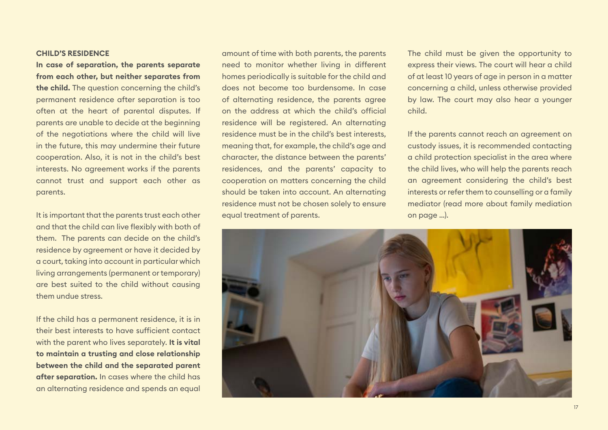#### **CHILD'S RESIDENCE**

**In case of separation, the parents separate from each other, but neither separates from the child.** The question concerning the child's permanent residence after separation is too often at the heart of parental disputes. If parents are unable to decide at the beginning of the negotiations where the child will live in the future, this may undermine their future cooperation. Also, it is not in the child's best interests. No agreement works if the parents cannot trust and support each other as parents.

It is important that the parents trust each other and that the child can live flexibly with both of them. The parents can decide on the child's residence by agreement or have it decided by a court, taking into account in particular which living arrangements (permanent or temporary) are best suited to the child without causing them undue stress.

If the child has a permanent residence, it is in their best interests to have sufficient contact with the parent who lives separately. **It is vital to maintain a trusting and close relationship between the child and the separated parent after separation.** In cases where the child has an alternating residence and spends an equal

amount of time with both parents, the parents need to monitor whether living in different homes periodically is suitable for the child and does not become too burdensome. In case of alternating residence, the parents agree on the address at which the child's official residence will be registered. An alternating residence must be in the child's best interests, meaning that, for example, the child's age and character, the distance between the parents' residences, and the parents' capacity to cooperation on matters concerning the child should be taken into account. An alternating residence must not be chosen solely to ensure equal treatment of parents.

The child must be given the opportunity to express their views. The court will hear a child of at least 10 years of age in person in a matter concerning a child, unless otherwise provided by law. The court may also hear a younger child.

If the parents cannot reach an agreement on custody issues, it is recommended contacting a child protection specialist in the area where the child lives, who will help the parents reach an agreement considering the child's best interests or refer them to counselling or a family mediator (read more about family mediation on page …).

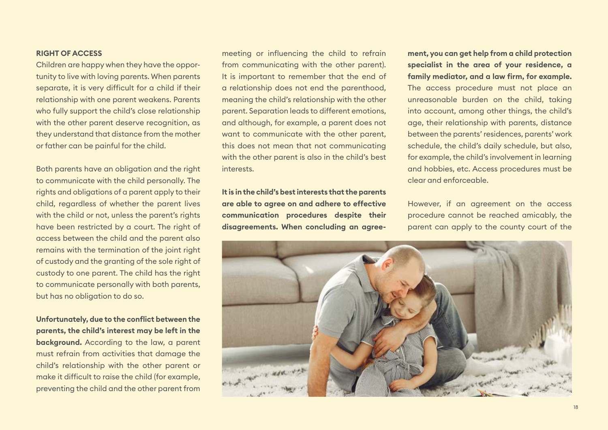#### **RIGHT OF ACCESS**

Children are happy when they have the opportunity to live with loving parents. When parents separate, it is very difficult for a child if their relationship with one parent weakens. Parents who fully support the child's close relationship with the other parent deserve recognition, as they understand that distance from the mother or father can be painful for the child.

Both parents have an obligation and the right to communicate with the child personally. The rights and obligations of a parent apply to their child, regardless of whether the parent lives with the child or not, unless the parent's rights have been restricted by a court. The right of access between the child and the parent also remains with the termination of the joint right of custody and the granting of the sole right of custody to one parent. The child has the right to communicate personally with both parents, but has no obligation to do so.

**Unfortunately, due to the conflict between the parents, the child's interest may be left in the background.** According to the law, a parent must refrain from activities that damage the child's relationship with the other parent or make it difficult to raise the child (for example, preventing the child and the other parent from

meeting or influencing the child to refrain from communicating with the other parent). It is important to remember that the end of a relationship does not end the parenthood, meaning the child's relationship with the other parent. Separation leads to different emotions, and although, for example, a parent does not want to communicate with the other parent, this does not mean that not communicating with the other parent is also in the child's best interests.

**It is in the child's best interests that the parents are able to agree on and adhere to effective communication procedures despite their disagreements. When concluding an agree-** **ment, you can get help from a child protection specialist in the area of your residence, a family mediator, and a law firm, for example.**  The access procedure must not place an unreasonable burden on the child, taking into account, among other things, the child's age, their relationship with parents, distance between the parents' residences, parents' work schedule, the child's daily schedule, but also, for example, the child's involvement in learning and hobbies, etc. Access procedures must be clear and enforceable.

However, if an agreement on the access procedure cannot be reached amicably, the parent can apply to the county court of the

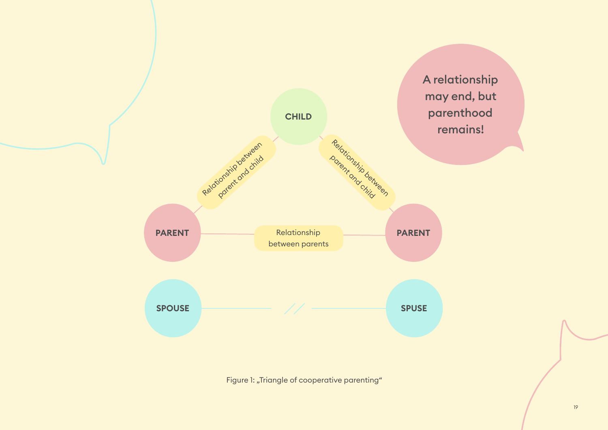

Figure 1: "Triangle of cooperative parenting"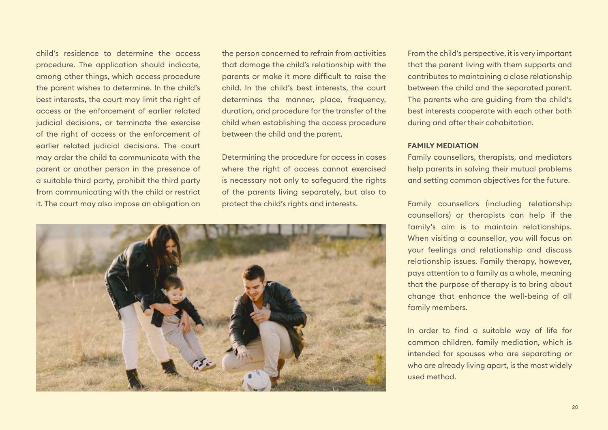child's residence to determine the access procedure. The application should indicate, among other things, which access procedure the parent wishes to determine. In the child's best interests, the court may limit the right of access or the enforcement of earlier related judicial decisions, or terminate the exercise of the right of access or the enforcement of earlier related judicial decisions. The court may order the child to communicate with the parent or another person in the presence of a suitable third party, prohibit the third party from communicating with the child or restrict it. The court may also impose an obligation on

the person concerned to refrain from activities that damage the child's relationship with the parents or make it more difficult to raise the child. In the child's best interests, the court determines the manner, place, frequency, duration, and procedure for the transfer of the child when establishing the access procedure between the child and the parent.

Determining the procedure for access in cases where the right of access cannot exercised is necessary not only to safeguard the rights of the parents living separately, but also to protect the child's rights and interests.



From the child's perspective, it is very important that the parent living with them supports and contributes to maintaining a close relationship between the child and the separated parent. The parents who are guiding from the child's best interests cooperate with each other both during and after their cohabitation.

#### **FAMILY MEDIATION**

Family counsellors, therapists, and mediators help parents in solving their mutual problems and setting common objectives for the future.

Family counsellors (including relationship counsellors) or therapists can help if the family's aim is to maintain relationships. When visiting a counsellor, you will focus on your feelings and relationship and discuss relationship issues. Family therapy, however, pays attention to a family as a whole, meaning that the purpose of therapy is to bring about change that enhance the well-being of all family members.

In order to find a suitable way of life for common children, family mediation, which is intended for spouses who are separating or who are already living apart, is the most widely used method.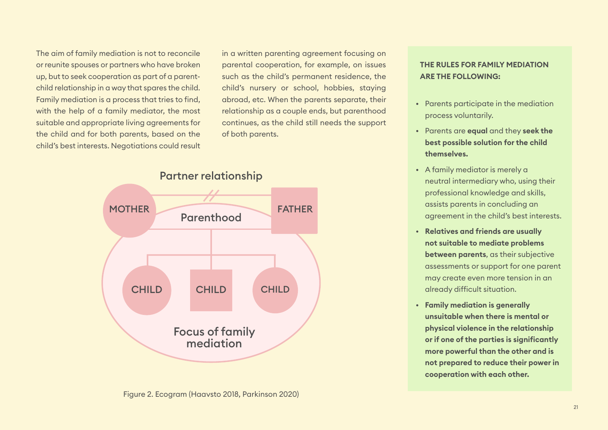The aim of family mediation is not to reconcile or reunite spouses or partners who have broken up, but to seek cooperation as part of a parentchild relationship in a way that spares the child. Family mediation is a process that tries to find, with the help of a family mediator, the most suitable and appropriate living agreements for the child and for both parents, based on the child's best interests. Negotiations could result in a written parenting agreement focusing on parental cooperation, for example, on issues such as the child's permanent residence, the child's nursery or school, hobbies, staying abroad, etc. When the parents separate, their relationship as a couple ends, but parenthood continues, as the child still needs the support of both parents.



Figure 2. Ecogram (Haavsto 2018, Parkinson 2020)

## **THE RULES FOR FAMILY MEDIATION ARE THE FOLLOWING:**

- Parents participate in the mediation process voluntarily.
- Parents are **equal** and they **seek the best possible solution for the child themselves.**
- A family mediator is merely a neutral intermediary who, using their professional knowledge and skills, assists parents in concluding an agreement in the child's best interests.
- **Relatives and friends are usually not suitable to mediate problems between parents**, as their subjective assessments or support for one parent may create even more tension in an already difficult situation.
- **Family mediation is generally unsuitable when there is mental or physical violence in the relationship or if one of the parties is significantly more powerful than the other and is not prepared to reduce their power in cooperation with each other.**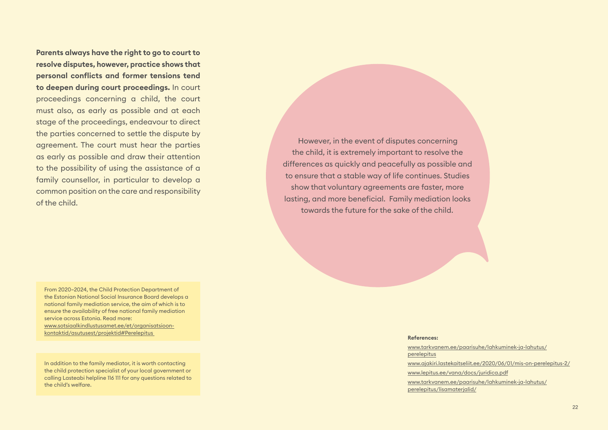**Parents always have the right to go to court to resolve disputes, however, practice shows that personal conflicts and former tensions tend to deepen during court proceedings.** In court proceedings concerning a child, the court must also, as early as possible and at each stage of the proceedings, endeavour to direct the parties concerned to settle the dispute by agreement. The court must hear the parties as early as possible and draw their attention to the possibility of using the assistance of a family counsellor, in particular to develop a common position on the care and responsibility of the child.

From 2020–2024, the Child Protection Department of the Estonian National Social Insurance Board develops a national family mediation service, the aim of which is to ensure the availability of free national family mediation service across Estonia. Read more: [www.sotsiaalkindlustusamet.ee/et/organisatsioon](http://www.sotsiaalkindlustusamet.ee/et/organisatsioon-kontaktid/asutusest/projektid#Perelepitus )[kontaktid/asutusest/projektid#Perelepitus](http://www.sotsiaalkindlustusamet.ee/et/organisatsioon-kontaktid/asutusest/projektid#Perelepitus ) 

In addition to the family mediator, it is worth contacting the child protection specialist of your local government or calling Lasteabi helpline 116 111 for any questions related to the child's welfare.

However, in the event of disputes concerning the child, it is extremely important to resolve the differences as quickly and peacefully as possible and to ensure that a stable way of life continues. Studies show that voluntary agreements are faster, more lasting, and more beneficial. Family mediation looks towards the future for the sake of the child.

#### **References:**

[www.tarkvanem.ee/paarisuhe/lahkuminek-ja-lahutus/](http://www.tarkvanem.ee/paarisuhe/lahkuminek-ja-lahutus/perelepitus) [perelepitus](http://www.tarkvanem.ee/paarisuhe/lahkuminek-ja-lahutus/perelepitus) [www.ajakiri.lastekaitseliit.ee/2020/06/01/mis-on-perelepitus-2/](http://www.ajakiri.lastekaitseliit.ee/2020/06/01/mis-on-perelepitus-2/ ) [www.lepitus.ee/vana/docs/juridica.pdf](http://www.lepitus.ee/vana/docs/juridica.pdf ) [www.tarkvanem.ee/paarisuhe/lahkuminek-ja-lahutus/](http://www.tarkvanem.ee/paarisuhe/lahkuminek-ja-lahutus/perelepitus/lisamaterjalid/) [perelepitus/lisamaterjalid/](http://www.tarkvanem.ee/paarisuhe/lahkuminek-ja-lahutus/perelepitus/lisamaterjalid/)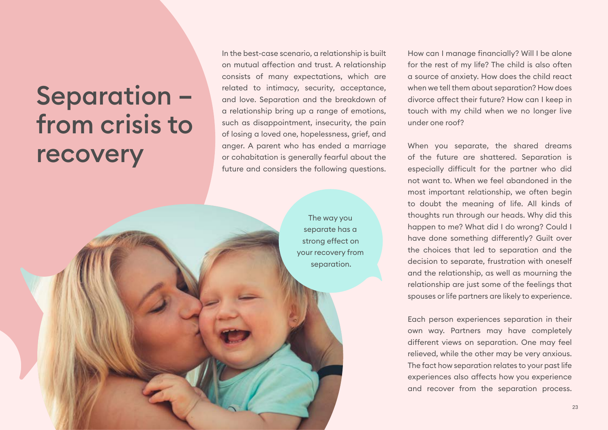# <span id="page-22-0"></span>Separation – from crisis to recovery

In the best-case scenario, a relationship is built on mutual affection and trust. A relationship consists of many expectations, which are related to intimacy, security, acceptance, and love. Separation and the breakdown of a relationship bring up a range of emotions, such as disappointment, insecurity, the pain of losing a loved one, hopelessness, grief, and anger. A parent who has ended a marriage or cohabitation is generally fearful about the future and considers the following questions.

> The way you separate has a strong effect on your recovery from separation.

How can I manage financially? Will I be alone for the rest of my life? The child is also often a source of anxiety. How does the child react when we tell them about separation? How does divorce affect their future? How can I keep in touch with my child when we no longer live under one roof?

When you separate, the shared dreams of the future are shattered. Separation is especially difficult for the partner who did not want to. When we feel abandoned in the most important relationship, we often begin to doubt the meaning of life. All kinds of thoughts run through our heads. Why did this happen to me? What did I do wrong? Could I have done something differently? Guilt over the choices that led to separation and the decision to separate, frustration with oneself and the relationship, as well as mourning the relationship are just some of the feelings that spouses or life partners are likely to experience.

Each person experiences separation in their own way. Partners may have completely different views on separation. One may feel relieved, while the other may be very anxious. The fact how separation relates to your past life experiences also affects how you experience and recover from the separation process.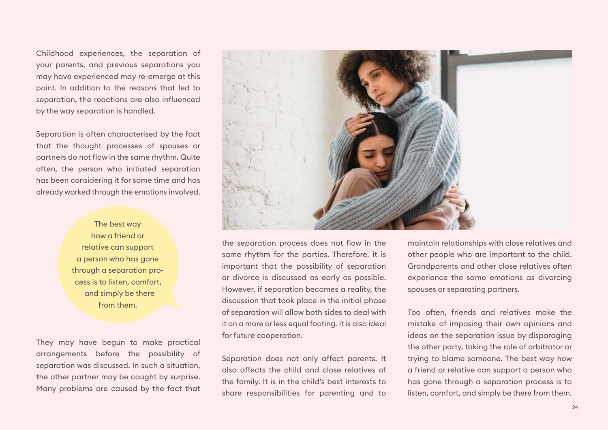Childhood experiences, the separation of your parents, and previous separations you may have experienced may re-emerge at this point. In addition to the reasons that led to separation, the reactions are also influenced by the way separation is handled.

Separation is often characterised by the fact that the thought processes of spouses or partners do not flow in the same rhythm. Quite often, the person who initiated separation has been considering it for some time and has already worked through the emotions involved.

> The best way how a friend or relative can support a person who has gone through a separation process is to listen, comfort, and simply be there from them.

They may have begun to make practical arrangements before the possibility of separation was discussed. In such a situation, the other partner may be caught by surprise. Many problems are caused by the fact that



the separation process does not flow in the same rhythm for the parties. Therefore, it is important that the possibility of separation or divorce is discussed as early as possible. However, if separation becomes a reality, the discussion that took place in the initial phase of separation will allow both sides to deal with it on a more or less equal footing. It is also ideal for future cooperation.

Separation does not only affect parents. It also affects the child and close relatives of the family. It is in the child's best interests to share responsibilities for parenting and to maintain relationships with close relatives and other people who are important to the child. Grandparents and other close relatives often experience the same emotions as divorcing spouses or separating partners.

Too often, friends and relatives make the mistake of imposing their own opinions and ideas on the separation issue by disparaging the other party, taking the role of arbitrator or trying to blame someone. The best way how a friend or relative can support a person who has gone through a separation process is to listen, comfort, and simply be there from them.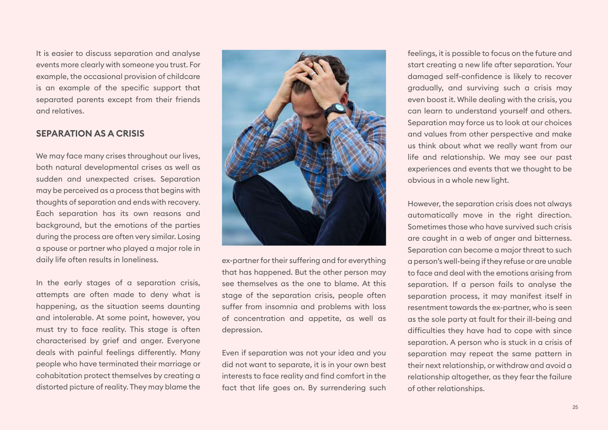It is easier to discuss separation and analyse events more clearly with someone you trust. For example, the occasional provision of childcare is an example of the specific support that separated parents except from their friends and relatives.

### <span id="page-24-0"></span>**SEPARATION AS A CRISIS**

We may face many crises throughout our lives, both natural developmental crises as well as sudden and unexpected crises. Separation may be perceived as a process that begins with thoughts of separation and ends with recovery. Each separation has its own reasons and background, but the emotions of the parties during the process are often very similar. Losing a spouse or partner who played a major role in daily life often results in loneliness.

In the early stages of a separation crisis, attempts are often made to deny what is happening, as the situation seems daunting and intolerable. At some point, however, you must try to face reality. This stage is often characterised by grief and anger. Everyone deals with painful feelings differently. Many people who have terminated their marriage or cohabitation protect themselves by creating a distorted picture of reality. They may blame the



ex-partner for their suffering and for everything that has happened. But the other person may see themselves as the one to blame. At this stage of the separation crisis, people often suffer from insomnia and problems with loss of concentration and appetite, as well as depression.

Even if separation was not your idea and you did not want to separate, it is in your own best interests to face reality and find comfort in the fact that life goes on. By surrendering such feelings, it is possible to focus on the future and start creating a new life after separation. Your damaged self-confidence is likely to recover gradually, and surviving such a crisis may even boost it. While dealing with the crisis, you can learn to understand yourself and others. Separation may force us to look at our choices and values from other perspective and make us think about what we really want from our life and relationship. We may see our past experiences and events that we thought to be obvious in a whole new light.

However, the separation crisis does not always automatically move in the right direction. Sometimes those who have survived such crisis are caught in a web of anger and bitterness. Separation can become a major threat to such a person's well-being if they refuse or are unable to face and deal with the emotions arising from separation. If a person fails to analyse the separation process, it may manifest itself in resentment towards the ex-partner, who is seen as the sole party at fault for their ill-being and difficulties they have had to cope with since separation. A person who is stuck in a crisis of separation may repeat the same pattern in their next relationship, or withdraw and avoid a relationship altogether, as they fear the failure of other relationships.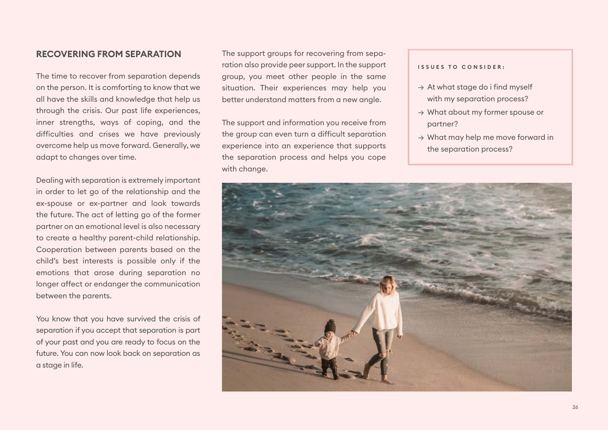### <span id="page-25-0"></span>**RECOVERING FROM SEPARATION**

The time to recover from separation depends on the person. It is comforting to know that we all have the skills and knowledge that help us through the crisis. Our past life experiences, inner strengths, ways of coping, and the difficulties and crises we have previously overcome help us move forward. Generally, we adapt to changes over time.

Dealing with separation is extremely important in order to let go of the relationship and the ex-spouse or ex-partner and look towards the future. The act of letting go of the former partner on an emotional level is also necessary to create a healthy parent-child relationship. Cooperation between parents based on the child's best interests is possible only if the emotions that arose during separation no longer affect or endanger the communication between the parents.

You know that you have survived the crisis of separation if you accept that separation is part of your past and you are ready to focus on the future. You can now look back on separation as a stage in life.

The support groups for recovering from separation also provide peer support. In the support group, you meet other people in the same situation. Their experiences may help you better understand matters from a new angle.

The support and information you receive from the group can even turn a difficult separation experience into an experience that supports the separation process and helps you cope with change.

#### **ISSUES TO CONSIDER:**

- $\rightarrow$  At what stage do i find myself with my separation process?
- → What about my former spouse or partner?
- $\rightarrow$  What may help me move forward in the separation process?

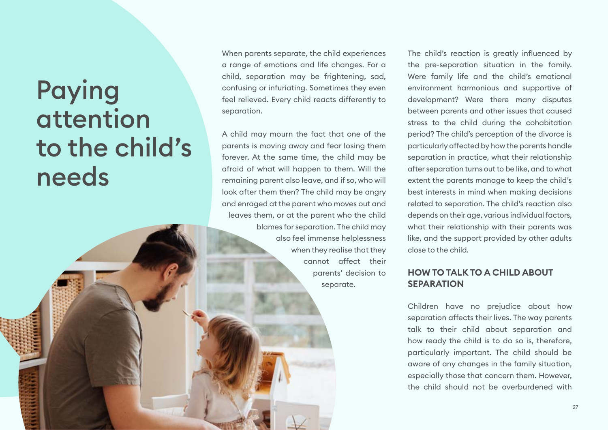# <span id="page-26-0"></span>Paying attention to the child's needs

When parents separate, the child experiences a range of emotions and life changes. For a child, separation may be frightening, sad, confusing or infuriating. Sometimes they even feel relieved. Every child reacts differently to separation.

A child may mourn the fact that one of the parents is moving away and fear losing them forever. At the same time, the child may be afraid of what will happen to them. Will the remaining parent also leave, and if so, who will look after them then? The child may be angry and enraged at the parent who moves out and leaves them, or at the parent who the child blames for separation. The child may also feel immense helplessness when they realise that they cannot affect their parents' decision to separate.

The child's reaction is greatly influenced by the pre-separation situation in the family. Were family life and the child's emotional environment harmonious and supportive of development? Were there many disputes between parents and other issues that caused stress to the child during the cohabitation period? The child's perception of the divorce is particularly affected by how the parents handle separation in practice, what their relationship after separation turns out to be like, and to what extent the parents manage to keep the child's best interests in mind when making decisions related to separation. The child's reaction also depends on their age, various individual factors, what their relationship with their parents was like, and the support provided by other adults close to the child.

# <span id="page-26-1"></span>**HOW TO TALK TO A CHILD ABOUT SEPARATION**

Children have no prejudice about how separation affects their lives. The way parents talk to their child about separation and how ready the child is to do so is, therefore, particularly important. The child should be aware of any changes in the family situation, especially those that concern them. However, the child should not be overburdened with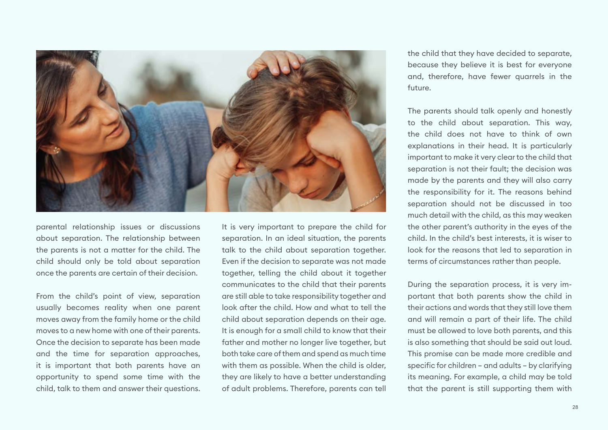

parental relationship issues or discussions about separation. The relationship between the parents is not a matter for the child. The child should only be told about separation once the parents are certain of their decision.

From the child's point of view, separation usually becomes reality when one parent moves away from the family home or the child moves to a new home with one of their parents. Once the decision to separate has been made and the time for separation approaches, it is important that both parents have an opportunity to spend some time with the child, talk to them and answer their questions.

It is very important to prepare the child for separation. In an ideal situation, the parents talk to the child about separation together. Even if the decision to separate was not made together, telling the child about it together communicates to the child that their parents are still able to take responsibility together and look after the child. How and what to tell the child about separation depends on their age. It is enough for a small child to know that their father and mother no longer live together, but both take care of them and spend as much time with them as possible. When the child is older, they are likely to have a better understanding of adult problems. Therefore, parents can tell the child that they have decided to separate, because they believe it is best for everyone and, therefore, have fewer quarrels in the future.

The parents should talk openly and honestly to the child about separation. This way, the child does not have to think of own explanations in their head. It is particularly important to make it very clear to the child that separation is not their fault; the decision was made by the parents and they will also carry the responsibility for it. The reasons behind separation should not be discussed in too much detail with the child, as this may weaken the other parent's authority in the eyes of the child. In the child's best interests, it is wiser to look for the reasons that led to separation in terms of circumstances rather than people.

During the separation process, it is very important that both parents show the child in their actions and words that they still love them and will remain a part of their life. The child must be allowed to love both parents, and this is also something that should be said out loud. This promise can be made more credible and specific for children – and adults – by clarifying its meaning. For example, a child may be told that the parent is still supporting them with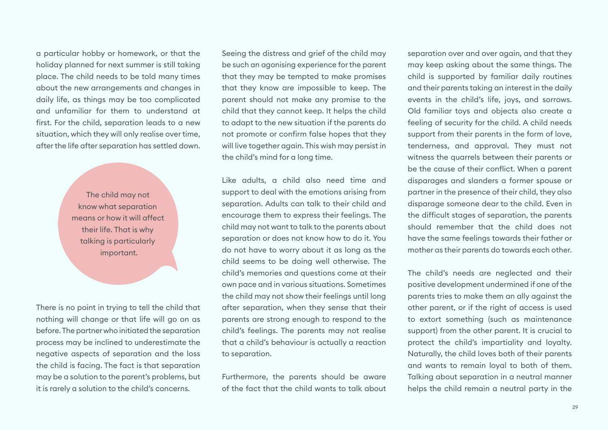a particular hobby or homework, or that the holiday planned for next summer is still taking place. The child needs to be told many times about the new arrangements and changes in daily life, as things may be too complicated and unfamiliar for them to understand at first. For the child, separation leads to a new situation, which they will only realise over time, after the life after separation has settled down.

> The child may not know what separation means or how it will affect their life. That is why talking is particularly important.

There is no point in trying to tell the child that nothing will change or that life will go on as before. The partner who initiated the separation process may be inclined to underestimate the negative aspects of separation and the loss the child is facing. The fact is that separation may be a solution to the parent's problems, but it is rarely a solution to the child's concerns.

Seeing the distress and grief of the child may be such an agonising experience for the parent that they may be tempted to make promises that they know are impossible to keep. The parent should not make any promise to the child that they cannot keep. It helps the child to adapt to the new situation if the parents do not promote or confirm false hopes that they will live together again. This wish may persist in the child's mind for a long time.

Like adults, a child also need time and support to deal with the emotions arising from separation. Adults can talk to their child and encourage them to express their feelings. The child may not want to talk to the parents about separation or does not know how to do it. You do not have to worry about it as long as the child seems to be doing well otherwise. The child's memories and questions come at their own pace and in various situations. Sometimes the child may not show their feelings until long after separation, when they sense that their parents are strong enough to respond to the child's feelings. The parents may not realise that a child's behaviour is actually a reaction to separation.

Furthermore, the parents should be aware of the fact that the child wants to talk about separation over and over again, and that they may keep asking about the same things. The child is supported by familiar daily routines and their parents taking an interest in the daily events in the child's life, joys, and sorrows. Old familiar toys and objects also create a feeling of security for the child. A child needs support from their parents in the form of love, tenderness, and approval. They must not witness the quarrels between their parents or be the cause of their conflict. When a parent disparages and slanders a former spouse or partner in the presence of their child, they also disparage someone dear to the child. Even in the difficult stages of separation, the parents should remember that the child does not have the same feelings towards their father or mother as their parents do towards each other.

The child's needs are neglected and their positive development undermined if one of the parents tries to make them an ally against the other parent, or if the right of access is used to extort something (such as maintenance support) from the other parent. It is crucial to protect the child's impartiality and loyalty. Naturally, the child loves both of their parents and wants to remain loyal to both of them. Talking about separation in a neutral manner helps the child remain a neutral party in the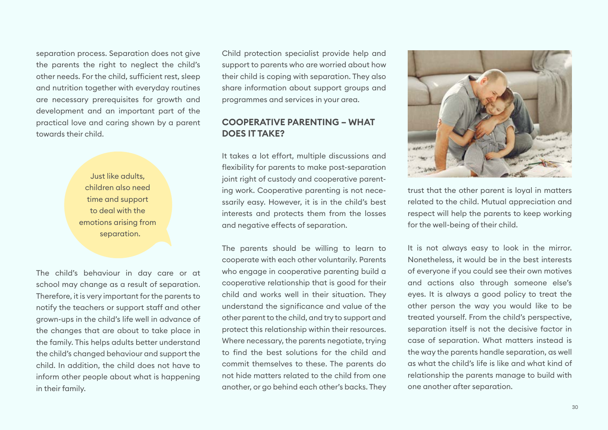separation process. Separation does not give the parents the right to neglect the child's other needs. For the child, sufficient rest, sleep and nutrition together with everyday routines are necessary prerequisites for growth and development and an important part of the practical love and caring shown by a parent towards their child.

> Just like adults, children also need time and support to deal with the emotions arising from separation.

The child's behaviour in day care or at school may change as a result of separation. Therefore, it is very important for the parents to notify the teachers or support staff and other grown-ups in the child's life well in advance of the changes that are about to take place in the family. This helps adults better understand the child's changed behaviour and support the child. In addition, the child does not have to inform other people about what is happening in their family.

Child protection specialist provide help and support to parents who are worried about how their child is coping with separation. They also share information about support groups and programmes and services in your area.

## <span id="page-29-0"></span>**COOPERATIVE PARENTING – WHAT DOES IT TAKE?**

It takes a lot effort, multiple discussions and flexibility for parents to make post-separation joint right of custody and cooperative parenting work. Cooperative parenting is not necessarily easy. However, it is in the child's best interests and protects them from the losses and negative effects of separation.

The parents should be willing to learn to cooperate with each other voluntarily. Parents who engage in cooperative parenting build a cooperative relationship that is good for their child and works well in their situation. They understand the significance and value of the other parent to the child, and try to support and protect this relationship within their resources. Where necessary, the parents negotiate, trying to find the best solutions for the child and commit themselves to these. The parents do not hide matters related to the child from one another, or go behind each other's backs. They



trust that the other parent is loyal in matters related to the child. Mutual appreciation and respect will help the parents to keep working for the well-being of their child.

It is not always easy to look in the mirror. Nonetheless, it would be in the best interests of everyone if you could see their own motives and actions also through someone else's eyes. It is always a good policy to treat the other person the way you would like to be treated yourself. From the child's perspective, separation itself is not the decisive factor in case of separation. What matters instead is the way the parents handle separation, as well as what the child's life is like and what kind of relationship the parents manage to build with one another after separation.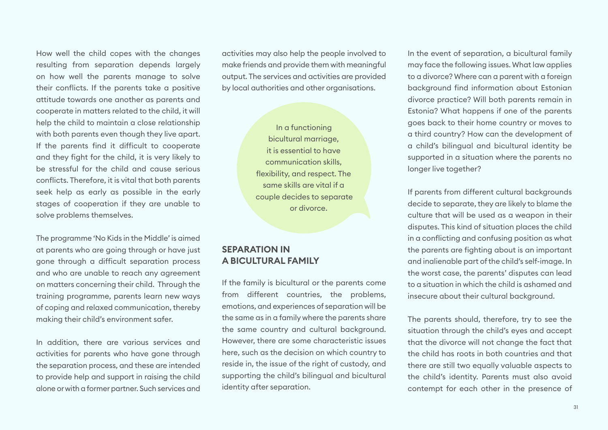How well the child copes with the changes resulting from separation depends largely on how well the parents manage to solve their conflicts. If the parents take a positive attitude towards one another as parents and cooperate in matters related to the child, it will help the child to maintain a close relationship with both parents even though they live apart. If the parents find it difficult to cooperate and they fight for the child, it is very likely to be stressful for the child and cause serious conflicts. Therefore, it is vital that both parents seek help as early as possible in the early stages of cooperation if they are unable to solve problems themselves.

The programme 'No Kids in the Middle' is aimed at parents who are going through or have just gone through a difficult separation process and who are unable to reach any agreement on matters concerning their child. Through the training programme, parents learn new ways of coping and relaxed communication, thereby making their child's environment safer.

In addition, there are various services and activities for parents who have gone through the separation process, and these are intended to provide help and support in raising the child alone or with a former partner. Such services and activities may also help the people involved to make friends and provide them with meaningful output. The services and activities are provided by local authorities and other organisations.

> In a functioning bicultural marriage, it is essential to have communication skills, flexibility, and respect. The same skills are vital if a couple decides to separate or divorce.

# <span id="page-30-0"></span>**SEPARATION IN A BICULTURAL FAMILY**

If the family is bicultural or the parents come from different countries, the problems, emotions, and experiences of separation will be the same as in a family where the parents share the same country and cultural background. However, there are some characteristic issues here, such as the decision on which country to reside in, the issue of the right of custody, and supporting the child's bilingual and bicultural identity after separation.

In the event of separation, a bicultural family may face the following issues. What law applies to a divorce? Where can a parent with a foreign background find information about Estonian divorce practice? Will both parents remain in Estonia? What happens if one of the parents goes back to their home country or moves to a third country? How can the development of a child's bilingual and bicultural identity be supported in a situation where the parents no longer live together?

If parents from different cultural backgrounds decide to separate, they are likely to blame the culture that will be used as a weapon in their disputes. This kind of situation places the child in a conflicting and confusing position as what the parents are fighting about is an important and inalienable part of the child's self-image. In the worst case, the parents' disputes can lead to a situation in which the child is ashamed and insecure about their cultural background.

The parents should, therefore, try to see the situation through the child's eyes and accept that the divorce will not change the fact that the child has roots in both countries and that there are still two equally valuable aspects to the child's identity. Parents must also avoid contempt for each other in the presence of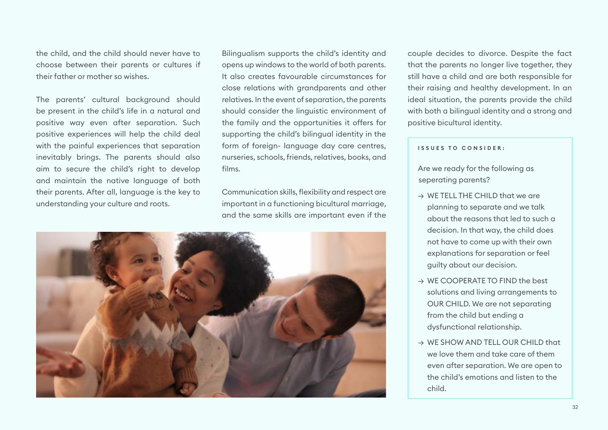the child, and the child should never have to choose between their parents or cultures if their father or mother so wishes.

The parents' cultural background should be present in the child's life in a natural and positive way even after separation. Such positive experiences will help the child deal with the painful experiences that separation inevitably brings. The parents should also aim to secure the child's right to develop and maintain the native language of both their parents. After all, language is the key to understanding your culture and roots.

Bilingualism supports the child's identity and opens up windows to the world of both parents. It also creates favourable circumstances for close relations with grandparents and other relatives. In the event of separation, the parents should consider the linguistic environment of the family and the opportunities it offers for supporting the child's bilingual identity in the form of foreign- language day care centres. nurseries, schools, friends, relatives, books, and films.

Communication skills, flexibility and respect are important in a functioning bicultural marriage, and the same skills are important even if the



couple decides to divorce. Despite the fact that the parents no longer live together, they still have a child and are both responsible for their raising and healthy development. In an ideal situation, the parents provide the child with both a bilingual identity and a strong and positive bicultural identity.

#### **ISSUES TO CONSIDER:**

Are we ready for the following as seperating parents?

- $\rightarrow$  WF TFLL THE CHILD that we are planning to separate and we talk about the reasons that led to such a decision. In that way, the child does not have to come up with their own explanations for separation or feel guilty about our decision.
- $\rightarrow$  WF COOPFRATE TO FIND the best solutions and living arrangements to OUR CHILD. We are not separating from the child but ending a dysfunctional relationship.
- $\rightarrow$  WE SHOW AND TELL OUR CHILD that we love them and take care of them even after separation. We are open to the child's emotions and listen to the child.